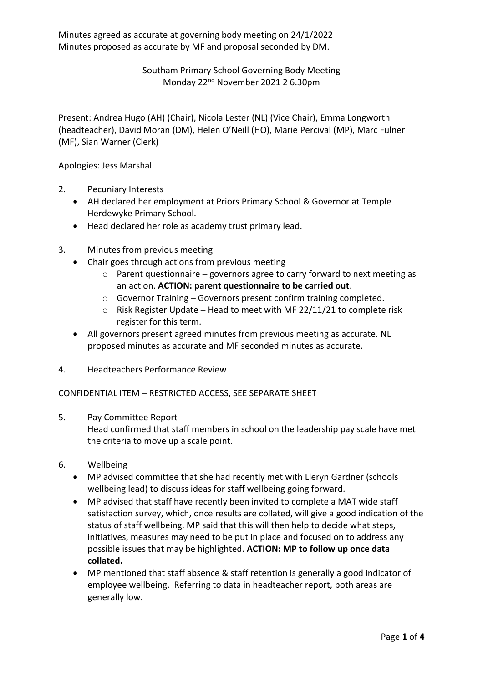Minutes agreed as accurate at governing body meeting on 24/1/2022 Minutes proposed as accurate by MF and proposal seconded by DM.

## Southam Primary School Governing Body Meeting Monday 22<sup>nd</sup> November 2021 2 6.30pm

Present: Andrea Hugo (AH) (Chair), Nicola Lester (NL) (Vice Chair), Emma Longworth (headteacher), David Moran (DM), Helen O'Neill (HO), Marie Percival (MP), Marc Fulner (MF), Sian Warner (Clerk)

Apologies: Jess Marshall

- 2. Pecuniary Interests
	- AH declared her employment at Priors Primary School & Governor at Temple Herdewyke Primary School.
	- Head declared her role as academy trust primary lead.
- 3. Minutes from previous meeting
	- Chair goes through actions from previous meeting
		- o Parent questionnaire governors agree to carry forward to next meeting as an action. **ACTION: parent questionnaire to be carried out**.
		- o Governor Training Governors present confirm training completed.
		- o Risk Register Update Head to meet with MF 22/11/21 to complete risk register for this term.
	- All governors present agreed minutes from previous meeting as accurate. NL proposed minutes as accurate and MF seconded minutes as accurate.
- 4. Headteachers Performance Review

## CONFIDENTIAL ITEM – RESTRICTED ACCESS, SEE SEPARATE SHEET

5. Pay Committee Report

Head confirmed that staff members in school on the leadership pay scale have met the criteria to move up a scale point.

- 6. Wellbeing
	- MP advised committee that she had recently met with Lleryn Gardner (schools wellbeing lead) to discuss ideas for staff wellbeing going forward.
	- MP advised that staff have recently been invited to complete a MAT wide staff satisfaction survey, which, once results are collated, will give a good indication of the status of staff wellbeing. MP said that this will then help to decide what steps, initiatives, measures may need to be put in place and focused on to address any possible issues that may be highlighted. **ACTION: MP to follow up once data collated.**
	- MP mentioned that staff absence & staff retention is generally a good indicator of employee wellbeing. Referring to data in headteacher report, both areas are generally low.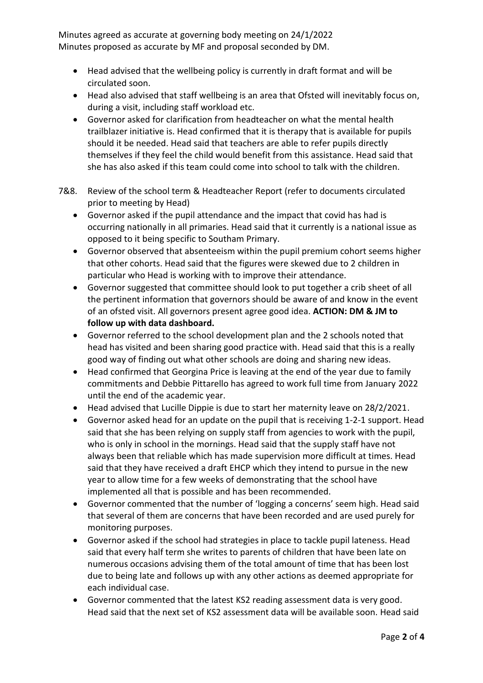Minutes agreed as accurate at governing body meeting on 24/1/2022 Minutes proposed as accurate by MF and proposal seconded by DM.

- Head advised that the wellbeing policy is currently in draft format and will be circulated soon.
- Head also advised that staff wellbeing is an area that Ofsted will inevitably focus on, during a visit, including staff workload etc.
- Governor asked for clarification from headteacher on what the mental health trailblazer initiative is. Head confirmed that it is therapy that is available for pupils should it be needed. Head said that teachers are able to refer pupils directly themselves if they feel the child would benefit from this assistance. Head said that she has also asked if this team could come into school to talk with the children.
- 7&8. Review of the school term & Headteacher Report (refer to documents circulated prior to meeting by Head)
	- Governor asked if the pupil attendance and the impact that covid has had is occurring nationally in all primaries. Head said that it currently is a national issue as opposed to it being specific to Southam Primary.
	- Governor observed that absenteeism within the pupil premium cohort seems higher that other cohorts. Head said that the figures were skewed due to 2 children in particular who Head is working with to improve their attendance.
	- Governor suggested that committee should look to put together a crib sheet of all the pertinent information that governors should be aware of and know in the event of an ofsted visit. All governors present agree good idea. **ACTION: DM & JM to follow up with data dashboard.**
	- Governor referred to the school development plan and the 2 schools noted that head has visited and been sharing good practice with. Head said that this is a really good way of finding out what other schools are doing and sharing new ideas.
	- Head confirmed that Georgina Price is leaving at the end of the year due to family commitments and Debbie Pittarello has agreed to work full time from January 2022 until the end of the academic year.
	- Head advised that Lucille Dippie is due to start her maternity leave on 28/2/2021.
	- Governor asked head for an update on the pupil that is receiving 1-2-1 support. Head said that she has been relying on supply staff from agencies to work with the pupil, who is only in school in the mornings. Head said that the supply staff have not always been that reliable which has made supervision more difficult at times. Head said that they have received a draft EHCP which they intend to pursue in the new year to allow time for a few weeks of demonstrating that the school have implemented all that is possible and has been recommended.
	- Governor commented that the number of 'logging a concerns' seem high. Head said that several of them are concerns that have been recorded and are used purely for monitoring purposes.
	- Governor asked if the school had strategies in place to tackle pupil lateness. Head said that every half term she writes to parents of children that have been late on numerous occasions advising them of the total amount of time that has been lost due to being late and follows up with any other actions as deemed appropriate for each individual case.
	- Governor commented that the latest KS2 reading assessment data is very good. Head said that the next set of KS2 assessment data will be available soon. Head said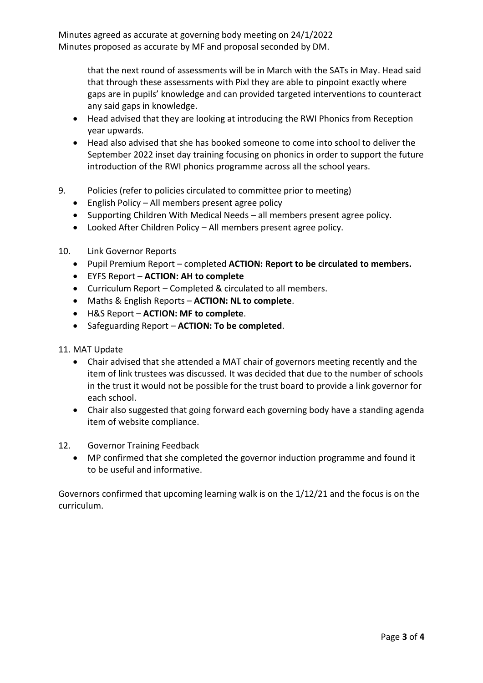Minutes agreed as accurate at governing body meeting on 24/1/2022 Minutes proposed as accurate by MF and proposal seconded by DM.

> that the next round of assessments will be in March with the SATs in May. Head said that through these assessments with Pixl they are able to pinpoint exactly where gaps are in pupils' knowledge and can provided targeted interventions to counteract any said gaps in knowledge.

- Head advised that they are looking at introducing the RWI Phonics from Reception year upwards.
- Head also advised that she has booked someone to come into school to deliver the September 2022 inset day training focusing on phonics in order to support the future introduction of the RWI phonics programme across all the school years.
- 9. Policies (refer to policies circulated to committee prior to meeting)
	- English Policy All members present agree policy
	- Supporting Children With Medical Needs all members present agree policy.
	- Looked After Children Policy All members present agree policy.
- 10. Link Governor Reports
	- Pupil Premium Report completed **ACTION: Report to be circulated to members.**
	- EYFS Report **ACTION: AH to complete**
	- Curriculum Report Completed & circulated to all members.
	- Maths & English Reports **ACTION: NL to complete**.
	- H&S Report **ACTION: MF to complete**.
	- Safeguarding Report **ACTION: To be completed**.
- 11. MAT Update
	- Chair advised that she attended a MAT chair of governors meeting recently and the item of link trustees was discussed. It was decided that due to the number of schools in the trust it would not be possible for the trust board to provide a link governor for each school.
	- Chair also suggested that going forward each governing body have a standing agenda item of website compliance.
- 12. Governor Training Feedback
	- MP confirmed that she completed the governor induction programme and found it to be useful and informative.

Governors confirmed that upcoming learning walk is on the 1/12/21 and the focus is on the curriculum.